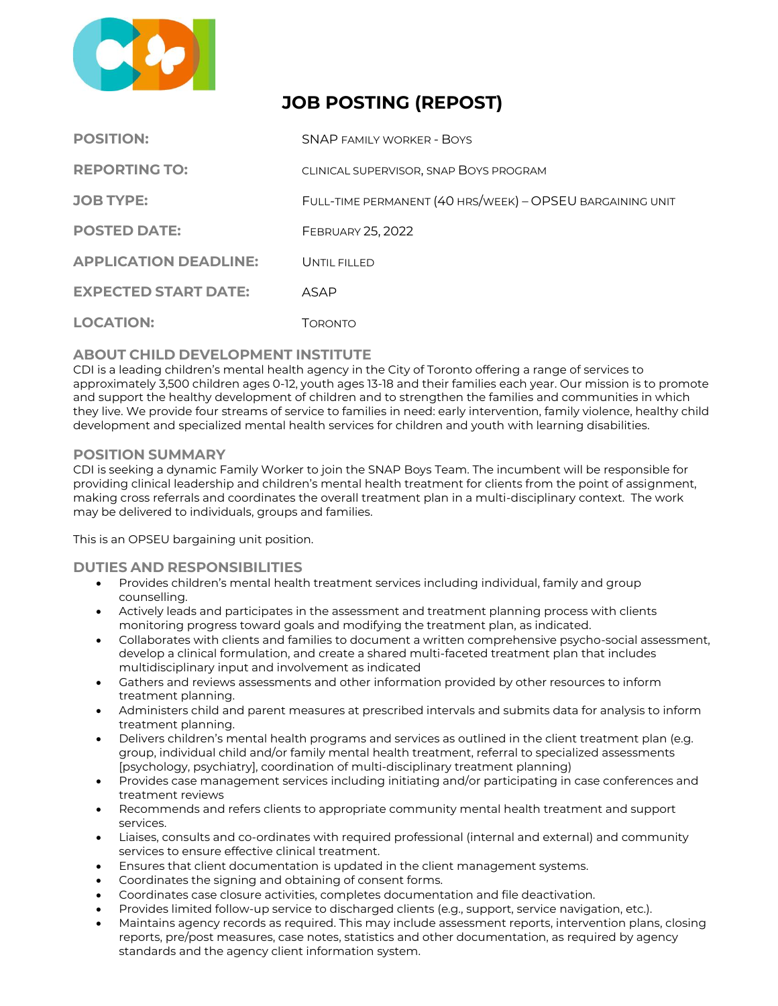

# **JOB POSTING (REPOST)**

| <b>POSITION:</b>             | <b>SNAP FAMILY WORKER - BOYS</b>                          |
|------------------------------|-----------------------------------------------------------|
| <b>REPORTING TO:</b>         | CLINICAL SUPERVISOR, SNAP BOYS PROGRAM                    |
| <b>JOB TYPE:</b>             | FULL-TIME PERMANENT (40 HRS/WEEK) - OPSEU BARGAINING UNIT |
| <b>POSTED DATE:</b>          | <b>FEBRUARY 25, 2022</b>                                  |
| <b>APPLICATION DEADLINE:</b> | UNTIL FILLED                                              |
| <b>EXPECTED START DATE:</b>  | ASAP                                                      |
| <b>LOCATION:</b>             | Торомто                                                   |

# **ABOUT CHILD DEVELOPMENT INSTITUTE**

CDI is a leading children's mental health agency in the City of Toronto offering a range of services to approximately 3,500 children ages 0‐12, youth ages 13-18 and their families each year. Our mission is to promote and support the healthy development of children and to strengthen the families and communities in which they live. We provide four streams of service to families in need: early intervention, family violence, healthy child development and specialized mental health services for children and youth with learning disabilities.

# **POSITION SUMMARY**

CDI is seeking a dynamic Family Worker to join the SNAP Boys Team. The incumbent will be responsible for providing clinical leadership and children's mental health treatment for clients from the point of assignment, making cross referrals and coordinates the overall treatment plan in a multi-disciplinary context. The work may be delivered to individuals, groups and families.

This is an OPSEU bargaining unit position.

## **DUTIES AND RESPONSIBILITIES**

- Provides children's mental health treatment services including individual, family and group counselling.
- Actively leads and participates in the assessment and treatment planning process with clients monitoring progress toward goals and modifying the treatment plan, as indicated.
- Collaborates with clients and families to document a written comprehensive psycho-social assessment, develop a clinical formulation, and create a shared multi-faceted treatment plan that includes multidisciplinary input and involvement as indicated
- Gathers and reviews assessments and other information provided by other resources to inform treatment planning.
- Administers child and parent measures at prescribed intervals and submits data for analysis to inform treatment planning.
- Delivers children's mental health programs and services as outlined in the client treatment plan (e.g. group, individual child and/or family mental health treatment, referral to specialized assessments [psychology, psychiatry], coordination of multi-disciplinary treatment planning)
- Provides case management services including initiating and/or participating in case conferences and treatment reviews
- Recommends and refers clients to appropriate community mental health treatment and support services.
- Liaises, consults and co-ordinates with required professional (internal and external) and community services to ensure effective clinical treatment.
- Ensures that client documentation is updated in the client management systems.
- Coordinates the signing and obtaining of consent forms.
- Coordinates case closure activities, completes documentation and file deactivation.
- Provides limited follow-up service to discharged clients (e.g., support, service navigation, etc.).
- Maintains agency records as required. This may include assessment reports, intervention plans, closing reports, pre/post measures, case notes, statistics and other documentation, as required by agency standards and the agency client information system.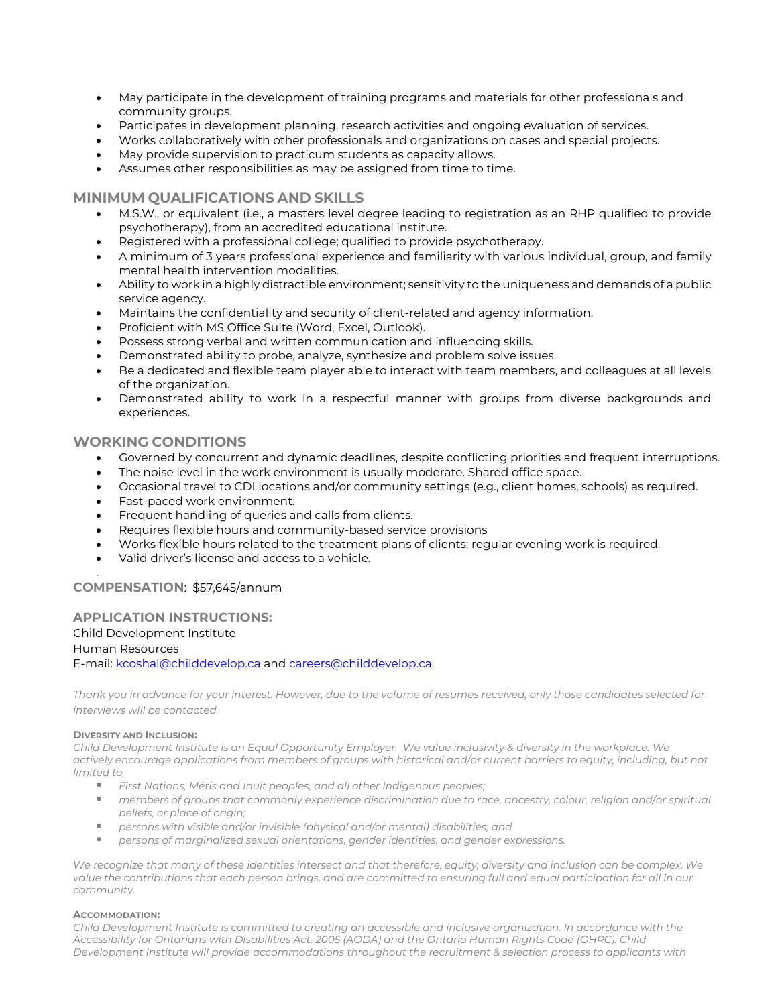- May participate in the development of training programs and materials for other professionals and community groups.
- Participates in development planning, research activities and ongoing evaluation of services.
- Works collaboratively with other professionals and organizations on cases and special projects.
- May provide supervision to practicum students as capacity allows.
- Assumes other responsibilities as may be assigned from time to time.

## **MINIMUM QUALIFICATIONS AND SKILLS**

- M.S.W., or equivalent (i.e., a masters level degree leading to registration as an RHP qualified to provide psychotherapy), from an accredited educational institute.
- Registered with a professional college; qualified to provide psychotherapy.
- A minimum of 3 years professional experience and familiarity with various individual, group, and family mental health intervention modalities.
- Ability to work in a highly distractible environment; sensitivity to the uniqueness and demands of a public service agency.
- Maintains the confidentiality and security of client-related and agency information.
- Proficient with MS Office Suite (Word, Excel, Outlook).
- Possess strong verbal and written communication and influencing skills.
- Demonstrated ability to probe, analyze, synthesize and problem solve issues.
- Be a dedicated and flexible team player able to interact with team members, and colleagues at all levels of the organization.
- Demonstrated ability to work in a respectful manner with groups from diverse backgrounds and experiences.

# **WORKING CONDITIONS**

- Governed by concurrent and dynamic deadlines, despite conflicting priorities and frequent interruptions.
- The noise level in the work environment is usually moderate. Shared office space.
- Occasional travel to CDI locations and/or community settings (e.g., client homes, schools) as required.
- Fast-paced work environment.
- Frequent handling of queries and calls from clients.
- Requires flexible hours and community-based service provisions
- Works flexible hours related to the treatment plans of clients; regular evening work is required.
- Valid driver's license and access to a vehicle.

## **COMPENSATION**: \$57,645/annum

#### **APPLICATION INSTRUCTIONS:** Child Development Institute Human Resources E-mail: [kcoshal@childdevelop.ca](mailto:kcoshal@childdevelop.ca) and [careers@childdevelop.ca](mailto:careers@childdevelop.ca)

*Thank you in advance for your interest. However, due to the volume of resumes received, only those candidates selected for interviews will be contacted.* 

#### **DIVERSITY AND INCLUSION:**

.

*Child Development Institute is an Equal Opportunity Employer. We value inclusivity & diversity in the workplace. We actively encourage applications from members of groups with historical and/or current barriers to equity, including, but not limited to,*

- *First Nations, Métis and Inuit peoples, and all other Indigenous peoples;*
- *members of groups that commonly experience discrimination due to race, ancestry, colour, religion and/or spiritual beliefs, or place of origin;*
- *persons with visible and/or invisible (physical and/or mental) disabilities; and*
- *persons of marginalized sexual orientations, gender identities, and gender expressions.*

We recognize that many of these identities intersect and that therefore, equity, diversity and inclusion can be complex. We *value the contributions that each person brings, and are committed to ensuring full and equal participation for all in our community.*

#### **ACCOMMODATION:**

*Child Development Institute is committed to creating an accessible and inclusive organization. In accordance with the Accessibility for Ontarians with Disabilities Act, 2005 (AODA) and the Ontario Human Rights Code (OHRC). Child Development Institute will provide accommodations throughout the recruitment & selection process to applicants with*